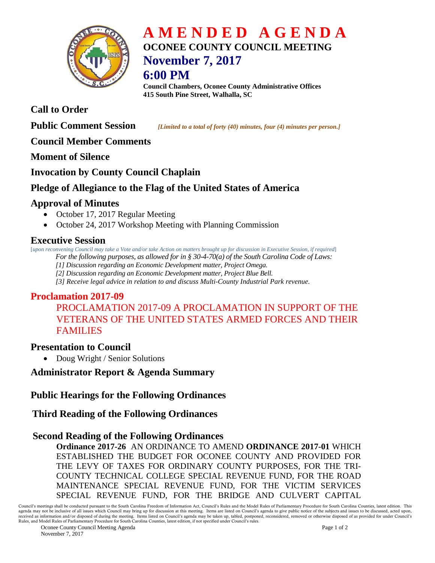

# **A M E N D E D A G E N D A OCONEE COUNTY COUNCIL MEETING November 7, 2017**

## **6:00 PM**

**Council Chambers, Oconee County Administrative Offices 415 South Pine Street, Walhalla, SC**

## **Call to Order**

**Public Comment Session** *<i>[Limited to a total of forty (40) minutes, four (4) minutes per person.]* 

#### **Council Member Comments**

**Moment of Silence** 

#### **Invocation by County Council Chaplain**

## **Pledge of Allegiance to the Flag of the United States of America**

## **Approval of Minutes**

- October 17, 2017 Regular Meeting
- October 24, 2017 Workshop Meeting with Planning Commission

## **Executive Session**

[*upon reconvening Council may take a Vote and/or take Action on matters brought up for discussion in Executive Session, if required*] *For the following purposes, as allowed for in § 30-4-70(a) of the South Carolina Code of Laws:* 

*[1] Discussion regarding an Economic Development matter, Project Omega.*

*[2] Discussion regarding an Economic Development matter, Project Blue Bell.*

*[3] Receive legal advice in relation to and discuss Multi-County Industrial Park revenue.*

## **Proclamation 2017-09**

## PROCLAMATION 2017-09 A PROCLAMATION IN SUPPORT OF THE VETERANS OF THE UNITED STATES ARMED FORCES AND THEIR FAMILIES

## **Presentation to Council**

• Doug Wright / Senior Solutions

## **Administrator Report & Agenda Summary**

#### **Public Hearings for the Following Ordinances**

## **Third Reading of the Following Ordinances**

#### **Second Reading of the Following Ordinances**

**Ordinance 2017-26** AN ORDINANCE TO AMEND **ORDINANCE 2017-01** WHICH ESTABLISHED THE BUDGET FOR OCONEE COUNTY AND PROVIDED FOR THE LEVY OF TAXES FOR ORDINARY COUNTY PURPOSES, FOR THE TRI-COUNTY TECHNICAL COLLEGE SPECIAL REVENUE FUND, FOR THE ROAD MAINTENANCE SPECIAL REVENUE FUND, FOR THE VICTIM SERVICES SPECIAL REVENUE FUND, FOR THE BRIDGE AND CULVERT CAPITAL